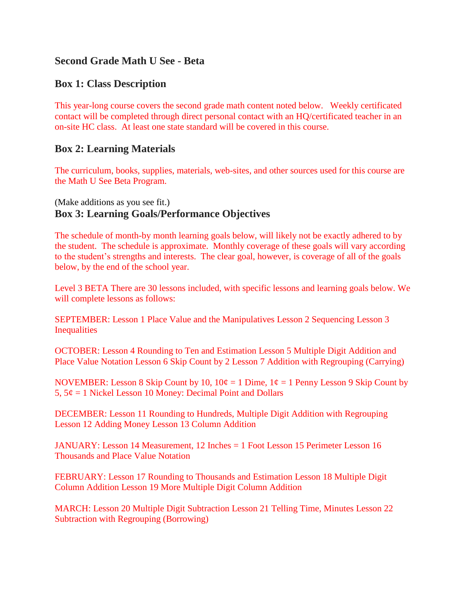## **Second Grade Math U See - Beta**

## **Box 1: Class Description**

This year-long course covers the second grade math content noted below. Weekly certificated contact will be completed through direct personal contact with an HQ/certificated teacher in an on-site HC class. At least one state standard will be covered in this course.

## **Box 2: Learning Materials**

The curriculum, books, supplies, materials, web-sites, and other sources used for this course are the Math U See Beta Program.

## (Make additions as you see fit.) **Box 3: Learning Goals/Performance Objectives**

The schedule of month-by month learning goals below, will likely not be exactly adhered to by the student. The schedule is approximate. Monthly coverage of these goals will vary according to the student's strengths and interests. The clear goal, however, is coverage of all of the goals below, by the end of the school year.

Level 3 BETA There are 30 lessons included, with specific lessons and learning goals below. We will complete lessons as follows:

SEPTEMBER: Lesson 1 Place Value and the Manipulatives Lesson 2 Sequencing Lesson 3 Inequalities

OCTOBER: Lesson 4 Rounding to Ten and Estimation Lesson 5 Multiple Digit Addition and Place Value Notation Lesson 6 Skip Count by 2 Lesson 7 Addition with Regrouping (Carrying)

NOVEMBER: Lesson 8 Skip Count by 10,  $10¢ = 1$  Dime,  $1¢ = 1$  Penny Lesson 9 Skip Count by 5,  $5\phi = 1$  Nickel Lesson 10 Money: Decimal Point and Dollars

DECEMBER: Lesson 11 Rounding to Hundreds, Multiple Digit Addition with Regrouping Lesson 12 Adding Money Lesson 13 Column Addition

JANUARY: Lesson 14 Measurement, 12 Inches = 1 Foot Lesson 15 Perimeter Lesson 16 Thousands and Place Value Notation

FEBRUARY: Lesson 17 Rounding to Thousands and Estimation Lesson 18 Multiple Digit Column Addition Lesson 19 More Multiple Digit Column Addition

MARCH: Lesson 20 Multiple Digit Subtraction Lesson 21 Telling Time, Minutes Lesson 22 Subtraction with Regrouping (Borrowing)